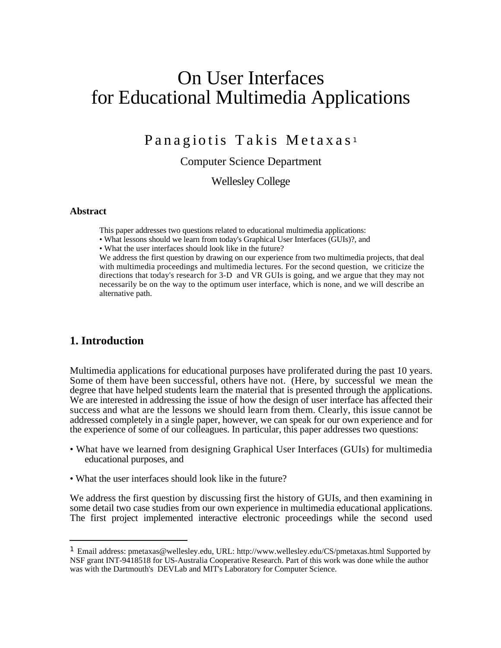# On User Interfaces for Educational Multimedia Applications

Panagiotis Takis Metaxas<sup>1</sup>

Computer Science Department

## Wellesley College

#### **Abstract**

This paper addresses two questions related to educational multimedia applications:

- What lessons should we learn from today's Graphical User Interfaces (GUIs)?, and
- What the user interfaces should look like in the future?

We address the first question by drawing on our experience from two multimedia projects, that deal with multimedia proceedings and multimedia lectures. For the second question, we criticize the directions that today's research for 3-D and VR GUIs is going, and we argue that they may not necessarily be on the way to the optimum user interface, which is none, and we will describe an alternative path.

#### **1. Introduction**

 $\overline{a}$ 

Multimedia applications for educational purposes have proliferated during the past 10 years. Some of them have been successful, others have not. (Here, by successful we mean the degree that have helped students learn the material that is presented through the applications. We are interested in addressing the issue of how the design of user interface has affected their success and what are the lessons we should learn from them. Clearly, this issue cannot be addressed completely in a single paper, however, we can speak for our own experience and for the experience of some of our colleagues. In particular, this paper addresses two questions:

- What have we learned from designing Graphical User Interfaces (GUIs) for multimedia educational purposes, and
- What the user interfaces should look like in the future?

We address the first question by discussing first the history of GUIs, and then examining in some detail two case studies from our own experience in multimedia educational applications. The first project implemented interactive electronic proceedings while the second used

<sup>1</sup> Email address: pmetaxas@wellesley.edu, URL: http://www.wellesley.edu/CS/pmetaxas.html Supported by NSF grant INT-9418518 for US-Australia Cooperative Research. Part of this work was done while the author was with the Dartmouth's DEVLab and MIT's Laboratory for Computer Science.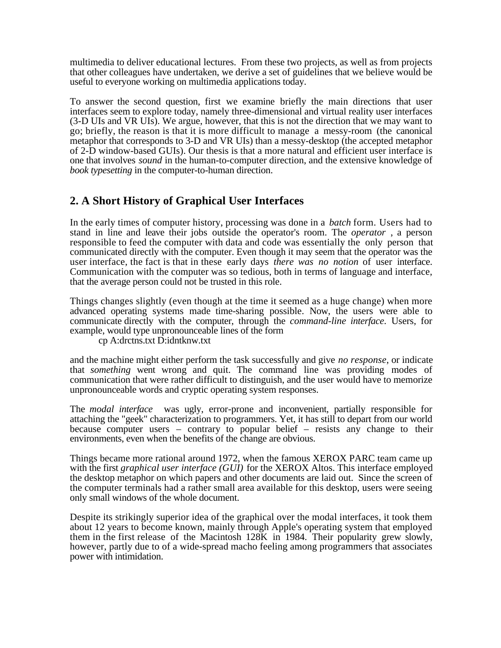multimedia to deliver educational lectures. From these two projects, as well as from projects that other colleagues have undertaken, we derive a set of guidelines that we believe would be useful to everyone working on multimedia applications today.

To answer the second question, first we examine briefly the main directions that user interfaces seem to explore today, namely three-dimensional and virtual reality user interfaces (3-D UIs and VR UIs). We argue, however, that this is not the direction that we may want to go; briefly, the reason is that it is more difficult to manage a messy-room (the canonical metaphor that corresponds to 3-D and VR UIs) than a messy-desktop (the accepted metaphor of 2-D window-based GUIs). Our thesis is that a more natural and efficient user interface is one that involves *sound* in the human-to-computer direction, and the extensive knowledge of *book typesetting* in the computer-to-human direction.

## **2. A Short History of Graphical User Interfaces**

In the early times of computer history, processing was done in a *batch* form. Users had to stand in line and leave their jobs outside the operator's room. The *operator* , a person responsible to feed the computer with data and code was essentially the only person that communicated directly with the computer. Even though it may seem that the operator was the user interface, the fact is that in these early days *there was no notion* of user interface. Communication with the computer was so tedious, both in terms of language and interface, that the average person could not be trusted in this role.

Things changes slightly (even though at the time it seemed as a huge change) when more advanced operating systems made time-sharing possible. Now, the users were able to communicate directly with the computer, through the *command-line interface*. Users, for example, would type unpronounceable lines of the form

cp A:drctns.txt D:idntknw.txt

and the machine might either perform the task successfully and give *no response*, or indicate that *something* went wrong and quit. The command line was providing modes of communication that were rather difficult to distinguish, and the user would have to memorize unpronounceable words and cryptic operating system responses.

The *modal interface* was ugly, error-prone and inconvenient, partially responsible for attaching the "geek" characterization to programmers. Yet, it has still to depart from our world because computer users – contrary to popular belief – resists any change to their environments, even when the benefits of the change are obvious.

Things became more rational around 1972, when the famous XEROX PARC team came up with the first *graphical user interface (GUI)* for the XEROX Altos. This interface employed the desktop metaphor on which papers and other documents are laid out. Since the screen of the computer terminals had a rather small area available for this desktop, users were seeing only small windows of the whole document.

Despite its strikingly superior idea of the graphical over the modal interfaces, it took them about 12 years to become known, mainly through Apple's operating system that employed them in the first release of the Macintosh 128K in 1984. Their popularity grew slowly, however, partly due to of a wide-spread macho feeling among programmers that associates power with intimidation.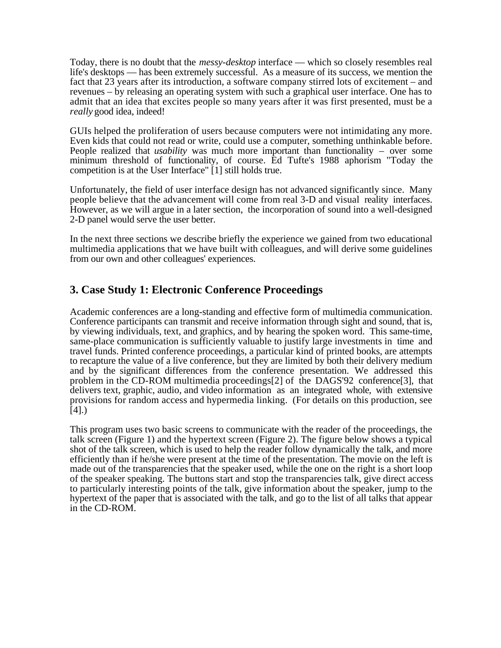Today, there is no doubt that the *messy-desktop* interface — which so closely resembles real life's desktops — has been extremely successful. As a measure of its success, we mention the fact that 23 years after its introduction, a software company stirred lots of excitement – and revenues – by releasing an operating system with such a graphical user interface. One has to admit that an idea that excites people so many years after it was first presented, must be a *really* good idea, indeed!

GUIs helped the proliferation of users because computers were not intimidating any more. Even kids that could not read or write, could use a computer, something unthinkable before. People realized that *usability* was much more important than functionality – over some minimum threshold of functionality, of course. Ed Tufte's 1988 aphorism "Today the competition is at the User Interface" [1] still holds true.

Unfortunately, the field of user interface design has not advanced significantly since. Many people believe that the advancement will come from real 3-D and visual reality interfaces. However, as we will argue in a later section, the incorporation of sound into a well-designed 2-D panel would serve the user better.

In the next three sections we describe briefly the experience we gained from two educational multimedia applications that we have built with colleagues, and will derive some guidelines from our own and other colleagues' experiences.

### **3. Case Study 1: Electronic Conference Proceedings**

Academic conferences are a long-standing and effective form of multimedia communication. Conference participants can transmit and receive information through sight and sound, that is, by viewing individuals, text, and graphics, and by hearing the spoken word. This same-time, same-place communication is sufficiently valuable to justify large investments in time and travel funds. Printed conference proceedings, a particular kind of printed books, are attempts to recapture the value of a live conference, but they are limited by both their delivery medium and by the significant differences from the conference presentation. We addressed this problem in the CD-ROM multimedia proceedings[2] of the DAGS'92 conference[3], that delivers text, graphic, audio, and video information as an integrated whole, with extensive provisions for random access and hypermedia linking. (For details on this production, see  $[4]$ .)

This program uses two basic screens to communicate with the reader of the proceedings, the talk screen (Figure 1) and the hypertext screen (Figure 2). The figure below shows a typical shot of the talk screen, which is used to help the reader follow dynamically the talk, and more efficiently than if he/she were present at the time of the presentation. The movie on the left is made out of the transparencies that the speaker used, while the one on the right is a short loop of the speaker speaking. The buttons start and stop the transparencies talk, give direct access to particularly interesting points of the talk, give information about the speaker, jump to the hypertext of the paper that is associated with the talk, and go to the list of all talks that appear in the CD-ROM.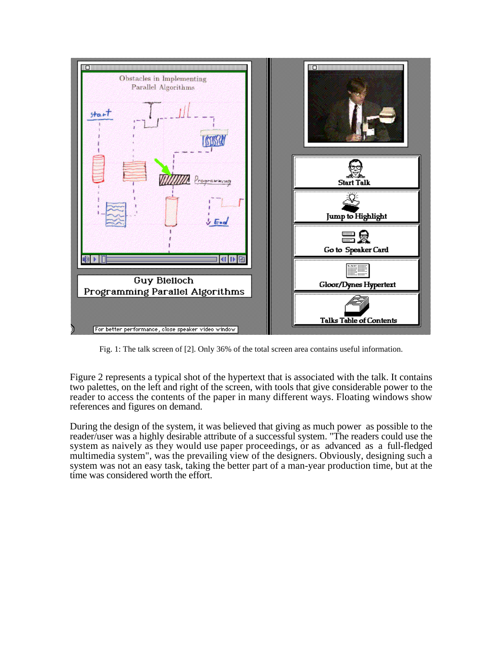

Fig. 1: The talk screen of [2]. Only 36% of the total screen area contains useful information.

Figure 2 represents a typical shot of the hypertext that is associated with the talk. It contains two palettes, on the left and right of the screen, with tools that give considerable power to the reader to access the contents of the paper in many different ways. Floating windows show references and figures on demand.

During the design of the system, it was believed that giving as much power as possible to the reader/user was a highly desirable attribute of a successful system. "The readers could use the system as naively as they would use paper proceedings, or as advanced as a full-fledged multimedia system", was the prevailing view of the designers. Obviously, designing such a system was not an easy task, taking the better part of a man-year production time, but at the time was considered worth the effort.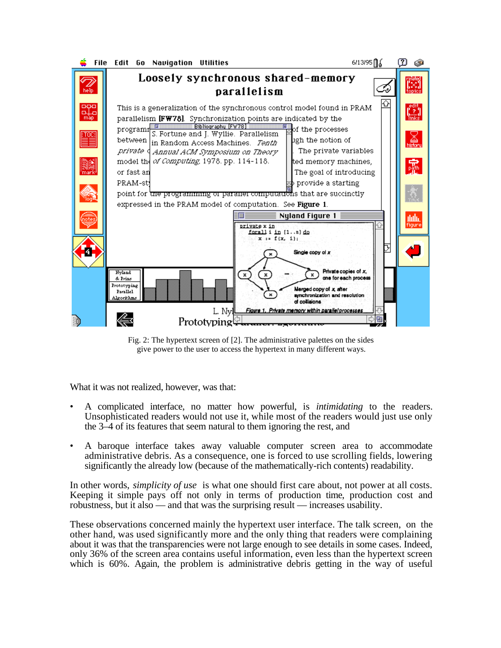

Fig. 2: The hypertext screen of [2]. The administrative palettes on the sides give power to the user to access the hypertext in many different ways.

What it was not realized, however, was that:

- A complicated interface, no matter how powerful, is *intimidating* to the readers. Unsophisticated readers would not use it, while most of the readers would just use only the 3–4 of its features that seem natural to them ignoring the rest, and
- A baroque interface takes away valuable computer screen area to accommodate administrative debris. As a consequence, one is forced to use scrolling fields, lowering significantly the already low (because of the mathematically-rich contents) readability.

In other words, *simplicity of use* is what one should first care about, not power at all costs. Keeping it simple pays off not only in terms of production time, production cost and robustness, but it also — and that was the surprising result — increases usability.

These observations concerned mainly the hypertext user interface. The talk screen, on the other hand, was used significantly more and the only thing that readers were complaining about it was that the transparencies were not large enough to see details in some cases. Indeed, only 36% of the screen area contains useful information, even less than the hypertext screen which is 60%. Again, the problem is administrative debris getting in the way of useful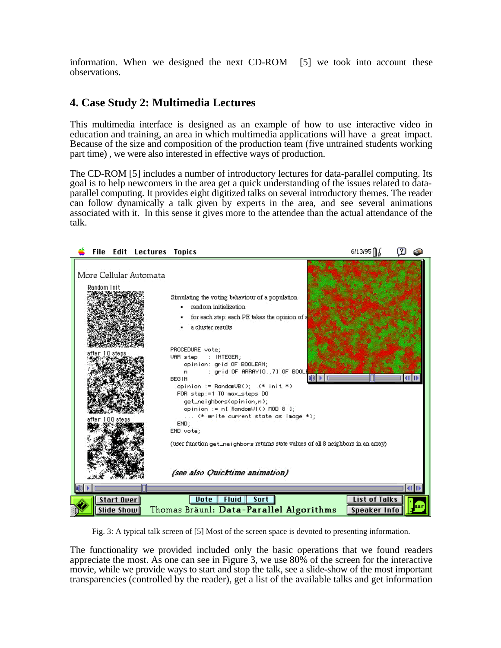information. When we designed the next CD-ROM [5] we took into account these observations.

### **4. Case Study 2: Multimedia Lectures**

This multimedia interface is designed as an example of how to use interactive video in education and training, an area in which multimedia applications will have a great impact. Because of the size and composition of the production team (five untrained students working part time) , we were also interested in effective ways of production.

The CD-ROM [5] includes a number of introductory lectures for data-parallel computing. Its goal is to help newcomers in the area get a quick understanding of the issues related to dataparallel computing. It provides eight digitized talks on several introductory themes. The reader can follow dynamically a talk given by experts in the area, and see several animations associated with it. In this sense it gives more to the attendee than the actual attendance of the talk.



Fig. 3: A typical talk screen of [5] Most of the screen space is devoted to presenting information.

The functionality we provided included only the basic operations that we found readers appreciate the most. As one can see in Figure 3, we use 80% of the screen for the interactive movie, while we provide ways to start and stop the talk, see a slide-show of the most important transparencies (controlled by the reader), get a list of the available talks and get information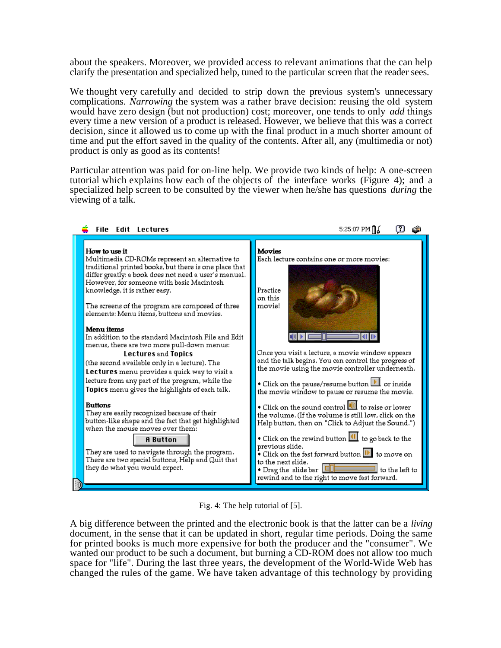about the speakers. Moreover, we provided access to relevant animations that the can help clarify the presentation and specialized help, tuned to the particular screen that the reader sees.

We thought very carefully and decided to strip down the previous system's unnecessary complications. *Narrowing* the system was a rather brave decision: reusing the old system would have zero design (but not production) cost; moreover, one tends to only *add* things every time a new version of a product is released. However, we believe that this was a correct decision, since it allowed us to come up with the final product in a much shorter amount of time and put the effort saved in the quality of the contents. After all, any (multimedia or not) product is only as good as its contents!

Particular attention was paid for on-line help. We provide two kinds of help: A one-screen tutorial which explains how each of the objects of the interface works (Figure 4); and a specialized help screen to be consulted by the viewer when he/she has questions *during* the viewing of a talk.



Fig. 4: The help tutorial of [5].

A big difference between the printed and the electronic book is that the latter can be a *living* document, in the sense that it can be updated in short, regular time periods. Doing the same for printed books is much more expensive for both the producer and the "consumer". We wanted our product to be such a document, but burning a CD-ROM does not allow too much space for "life". During the last three years, the development of the World-Wide Web has changed the rules of the game. We have taken advantage of this technology by providing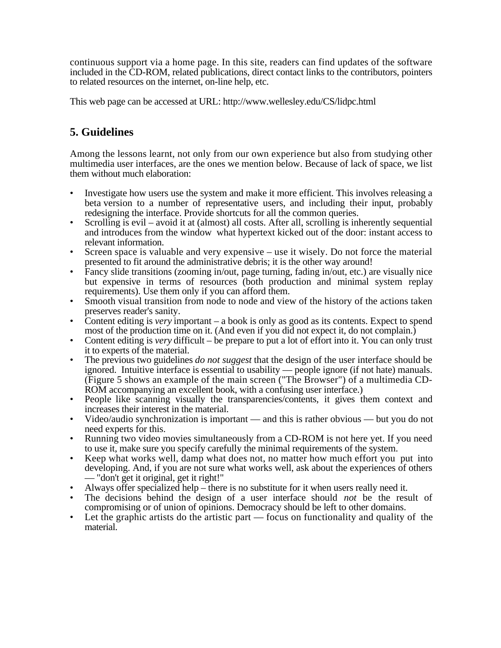continuous support via a home page. In this site, readers can find updates of the software included in the CD-ROM, related publications, direct contact links to the contributors, pointers to related resources on the internet, on-line help, etc.

This web page can be accessed at URL: http://www.wellesley.edu/CS/lidpc.html

# **5. Guidelines**

Among the lessons learnt, not only from our own experience but also from studying other multimedia user interfaces, are the ones we mention below. Because of lack of space, we list them without much elaboration:

- Investigate how users use the system and make it more efficient. This involves releasing a beta version to a number of representative users, and including their input, probably redesigning the interface. Provide shortcuts for all the common queries.
- Scrolling is evil avoid it at (almost) all costs. After all, scrolling is inherently sequential and introduces from the window what hypertext kicked out of the door: instant access to relevant information.
- Screen space is valuable and very expensive use it wisely. Do not force the material presented to fit around the administrative debris; it is the other way around!
- Fancy slide transitions (zooming in/out, page turning, fading in/out, etc.) are visually nice but expensive in terms of resources (both production and minimal system replay requirements). Use them only if you can afford them.
- Smooth visual transition from node to node and view of the history of the actions taken preserves reader's sanity.
- Content editing is *very* important a book is only as good as its contents. Expect to spend most of the production time on it. (And even if you did not expect it, do not complain.)
- Content editing is *very* difficult be prepare to put a lot of effort into it. You can only trust it to experts of the material.
- The previous two guidelines *do not suggest* that the design of the user interface should be ignored. Intuitive interface is essential to usability — people ignore (if not hate) manuals. (Figure 5 shows an example of the main screen ("The Browser") of a multimedia CD-ROM accompanying an excellent book, with a confusing user interface.)
- People like scanning visually the transparencies/contents, it gives them context and increases their interest in the material.
- Video/audio synchronization is important and this is rather obvious but you do not need experts for this.
- Running two video movies simultaneously from a CD-ROM is not here yet. If you need to use it, make sure you specify carefully the minimal requirements of the system.
- Keep what works well, damp what does not, no matter how much effort you put into developing. And, if you are not sure what works well, ask about the experiences of others — "don't get it original, get it right!"
- Always offer specialized help there is no substitute for it when users really need it.
- The decisions behind the design of a user interface should *not* be the result of compromising or of union of opinions. Democracy should be left to other domains.
- Let the graphic artists do the artistic part focus on functionality and quality of the material.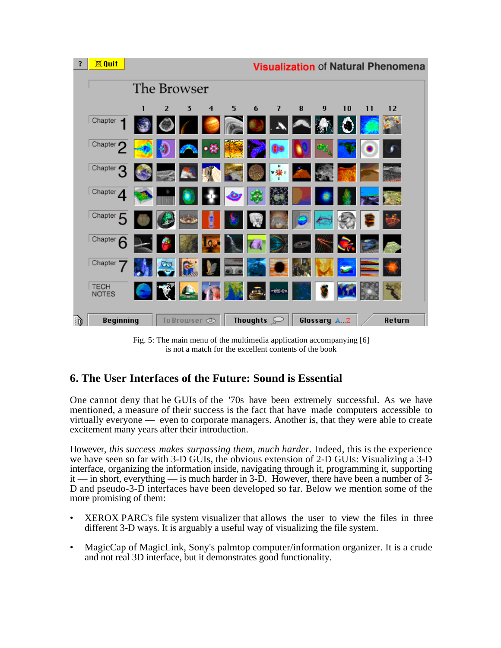

Fig. 5: The main menu of the multimedia application accompanying [6] is not a match for the excellent contents of the book

## **6. The User Interfaces of the Future: Sound is Essential**

One cannot deny that he GUIs of the '70s have been extremely successful. As we have mentioned, a measure of their success is the fact that have made computers accessible to virtually everyone — even to corporate managers. Another is, that they were able to create excitement many years after their introduction.

However, *this success makes surpassing them, much harder.* Indeed, this is the experience we have seen so far with 3-D GUIs, the obvious extension of 2-D GUIs: Visualizing a 3-D interface, organizing the information inside, navigating through it, programming it, supporting it — in short, everything — is much harder in 3-D. However, there have been a number of 3- D and pseudo-3-D interfaces have been developed so far. Below we mention some of the more promising of them:

- XEROX PARC's file system visualizer that allows the user to view the files in three different 3-D ways. It is arguably a useful way of visualizing the file system.
- MagicCap of MagicLink, Sony's palmtop computer/information organizer. It is a crude and not real 3D interface, but it demonstrates good functionality.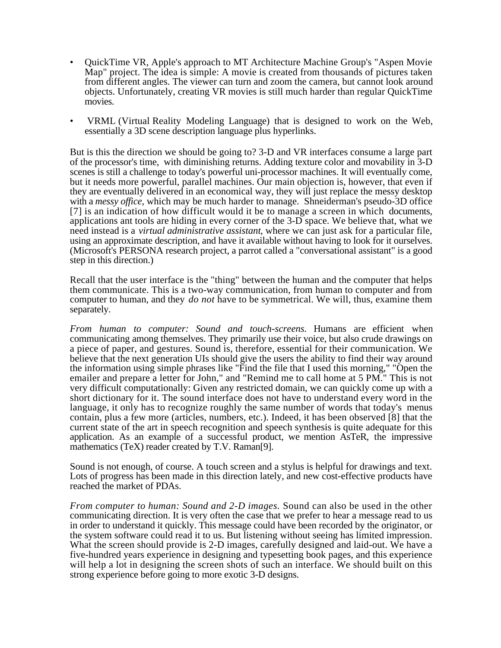- QuickTime VR, Apple's approach to MT Architecture Machine Group's "Aspen Movie Map" project. The idea is simple: A movie is created from thousands of pictures taken from different angles. The viewer can turn and zoom the camera, but cannot look around objects. Unfortunately, creating VR movies is still much harder than regular QuickTime movies.
- VRML (Virtual Reality Modeling Language) that is designed to work on the Web, essentially a 3D scene description language plus hyperlinks.

But is this the direction we should be going to? 3-D and VR interfaces consume a large part of the processor's time, with diminishing returns. Adding texture color and movability in 3-D scenes is still a challenge to today's powerful uni-processor machines. It will eventually come, but it needs more powerful, parallel machines. Our main objection is, however, that even if they are eventually delivered in an economical way, they will just replace the messy desktop with a *messy office*, which may be much harder to manage. Shneiderman's pseudo-3D office [7] is an indication of how difficult would it be to manage a screen in which documents, applications ant tools are hiding in every corner of the  $3-D$  space. We believe that, what we need instead is a *virtual administrative assistant*, where we can just ask for a particular file, using an approximate description, and have it available without having to look for it ourselves. (Microsoft's PERSONA research project, a parrot called a "conversational assistant" is a good step in this direction.)

Recall that the user interface is the "thing" between the human and the computer that helps them communicate. This is a two-way communication, from human to computer and from computer to human, and they *do not* have to be symmetrical. We will, thus, examine them separately.

*From human to computer: Sound and touch-screens.* Humans are efficient when communicating among themselves. They primarily use their voice, but also crude drawings on a piece of paper, and gestures. Sound is, therefore, essential for their communication. We believe that the next generation UIs should give the users the ability to find their way around the information using simple phrases like "Find the file that I used this morning," "Open the emailer and prepare a letter for John," and "Remind me to call home at 5 PM." This is not very difficult computationally: Given any restricted domain, we can quickly come up with a short dictionary for it. The sound interface does not have to understand every word in the language, it only has to recognize roughly the same number of words that today's menus contain, plus a few more (articles, numbers, etc.). Indeed, it has been observed [8] that the current state of the art in speech recognition and speech synthesis is quite adequate for this application. As an example of a successful product, we mention AsTeR, the impressive mathematics (TeX) reader created by T.V. Raman[9].

Sound is not enough, of course. A touch screen and a stylus is helpful for drawings and text. Lots of progress has been made in this direction lately, and new cost-effective products have reached the market of PDAs.

*From computer to human: Sound and 2-D images.* Sound can also be used in the other communicating direction. It is very often the case that we prefer to hear a message read to us in order to understand it quickly. This message could have been recorded by the originator, or the system software could read it to us. But listening without seeing has limited impression. What the screen should provide is 2-D images, carefully designed and laid-out. We have a five-hundred years experience in designing and typesetting book pages, and this experience will help a lot in designing the screen shots of such an interface. We should built on this strong experience before going to more exotic 3-D designs.